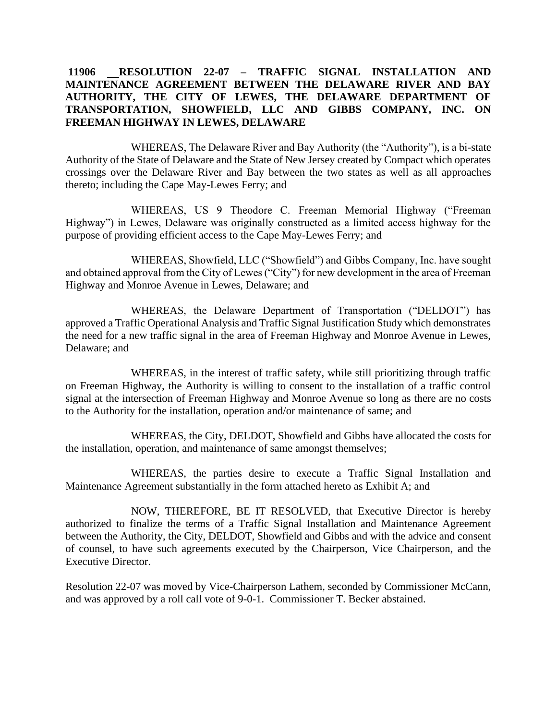## **11906 RESOLUTION 22-07 – TRAFFIC SIGNAL INSTALLATION AND MAINTENANCE AGREEMENT BETWEEN THE DELAWARE RIVER AND BAY AUTHORITY, THE CITY OF LEWES, THE DELAWARE DEPARTMENT OF TRANSPORTATION, SHOWFIELD, LLC AND GIBBS COMPANY, INC. ON FREEMAN HIGHWAY IN LEWES, DELAWARE**

WHEREAS, The Delaware River and Bay Authority (the "Authority"), is a bi-state Authority of the State of Delaware and the State of New Jersey created by Compact which operates crossings over the Delaware River and Bay between the two states as well as all approaches thereto; including the Cape May-Lewes Ferry; and

WHEREAS, US 9 Theodore C. Freeman Memorial Highway ("Freeman Highway") in Lewes, Delaware was originally constructed as a limited access highway for the purpose of providing efficient access to the Cape May-Lewes Ferry; and

WHEREAS, Showfield, LLC ("Showfield") and Gibbs Company, Inc. have sought and obtained approval from the City of Lewes ("City") for new development in the area of Freeman Highway and Monroe Avenue in Lewes, Delaware; and

WHEREAS, the Delaware Department of Transportation ("DELDOT") has approved a Traffic Operational Analysis and Traffic Signal Justification Study which demonstrates the need for a new traffic signal in the area of Freeman Highway and Monroe Avenue in Lewes, Delaware; and

WHEREAS, in the interest of traffic safety, while still prioritizing through traffic on Freeman Highway, the Authority is willing to consent to the installation of a traffic control signal at the intersection of Freeman Highway and Monroe Avenue so long as there are no costs to the Authority for the installation, operation and/or maintenance of same; and

WHEREAS, the City, DELDOT, Showfield and Gibbs have allocated the costs for the installation, operation, and maintenance of same amongst themselves;

WHEREAS, the parties desire to execute a Traffic Signal Installation and Maintenance Agreement substantially in the form attached hereto as Exhibit A; and

NOW, THEREFORE, BE IT RESOLVED, that Executive Director is hereby authorized to finalize the terms of a Traffic Signal Installation and Maintenance Agreement between the Authority, the City, DELDOT, Showfield and Gibbs and with the advice and consent of counsel, to have such agreements executed by the Chairperson, Vice Chairperson, and the Executive Director.

Resolution 22-07 was moved by Vice-Chairperson Lathem, seconded by Commissioner McCann, and was approved by a roll call vote of 9-0-1. Commissioner T. Becker abstained.